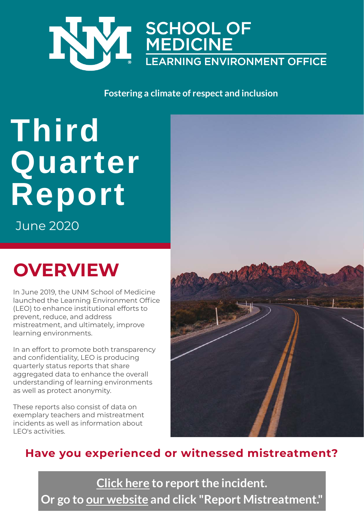

#### **Fostering a climate of respect and inclusion**

# **Third Quarter Report**

June 2020

## **OVERVIEW**

In June 2019, the UNM School of Medicine launched the Learning Environment Office (LEO) to enhance institutional efforts to prevent, reduce, and address mistreatment, and ultimately, improve learning environments.

In an effort to promote both transparency and confidentiality, LEO is producing quarterly status reports that share aggregated data to enhance the overall understanding of learning environments as well as protect anonymity.

These reports also consist of data on exemplary teachers and mistreatment incidents as well as information about LEO's activities.



### **Have you experienced or witnessed mistreatment?**

**[Click here to report](https://app.smartsheet.com/b/form/8d0b8a0107c14cffa37c996ae2562697) the incident. [Or go to our website and click "Report Mistreatment."](https://hsc.unm.edu/school-of-medicine/education/learning-environment-office.html)**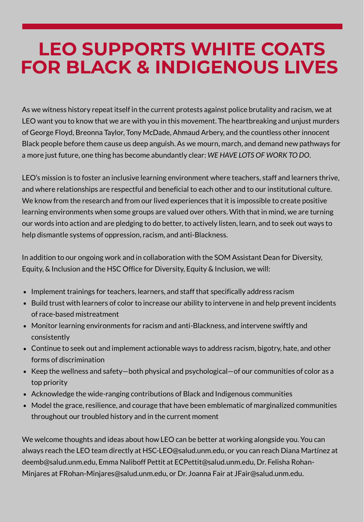### **LEO SUPPORTS WHITE COATS FOR BLACK & INDIGENOUS LIVES**

As we witness history repeat itself in the current protests against police brutality and racism, we at LEO want you to know that we are with you in this movement. The heartbreaking and unjust murders of George Floyd, Breonna Taylor, Tony McDade, Ahmaud Arbery, and the countless other innocent Black people before them cause us deep anguish. As we mourn, march, and demand new pathways for a more just future, one thing has become abundantly clear: *WE HAVE LOTS OF WORK TO DO*.

LEO's mission is to foster an inclusive learning environment where teachers, staff and learners thrive, and where relationships are respectful and beneficial to each other and to our institutional culture. We know from the research and from our lived experiences that it is impossible to create positive learning environments when some groups are valued over others. With that in mind, we are turning our words into action and are pledging to do better, to actively listen, learn, and to seek out ways to help dismantle systems of oppression, racism, and anti-Blackness.

In addition to our ongoing work and in collaboration with the SOM Assistant Dean for Diversity, Equity, & Inclusion and the HSC Office for Diversity, Equity & Inclusion, we will:

- Implement trainings for teachers, learners, and staff that specifically address racism
- Build trust with learners of color to increase our ability to intervene in and help prevent incidents of race-based mistreatment
- Monitor learning environments for racism and anti-Blackness, and intervene swiftly and consistently
- Continue to seek out and implement actionable ways to address racism, bigotry, hate, and other forms of discrimination
- Keep the wellness and safety-both physical and psychological-of our communities of color as a top priority
- Acknowledge the wide-ranging contributions of Black and Indigenous communities
- Model the grace, resilience, and courage that have been emblematic of marginalized communities throughout our troubled history and in the current moment

We welcome thoughts and ideas about how LEO can be better at working alongside you. You can always reach the LEO team directly at HSC-LEO@salud.unm.edu, or you can reach Diana Martínez at deemb@salud.unm.edu, Emma Naliboff Pettit at ECPettit@salud.unm.edu, Dr. Felisha Rohan-Minjares at FRohan-Minjares@salud.unm.edu, or Dr. Joanna Fair at JFair@salud.unm.edu.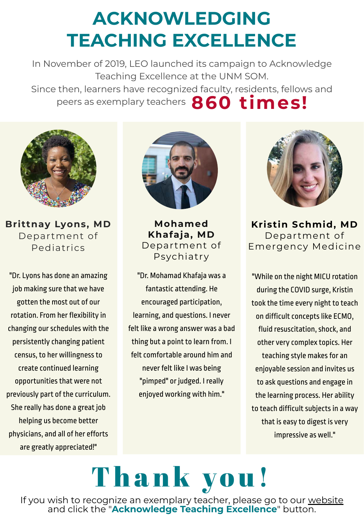## **ACKNOWLEDGING TEACHING EXCELLENCE**

In November of 2019, LEO launched its campaign to Acknowledge Teaching Excellence at the UNM SOM. Since then, learners have recognized faculty, residents, fellows and

peers as exemplary teachers **860 times!** 



**Brittnay Lyons, MD** Department of Pediatrics

"Dr. Lyons has done an amazing job making sure that we have gotten the most out of our rotation. From her flexibility in changing our schedules with the persistently changing patient census, to her willingness to create continued learning opportunities that were not previously part of the curriculum. She really has done a great job helping us become better physicians, and all of her efforts are greatly appreciated!"



**Mohamed Khafaja, MD** Department of Psychiatry

"Dr. Mohamad Khafaja was a fantastic attending. He encouraged participation, learning, and questions. I never felt like a wrong answer was a bad thing but a point to learn from. I felt comfortable around him and never felt like I was being "pimped" or judged. I really enjoyed working with him."



**Kristin Schmid, MD** Department of Emergency Medicine

"While on the night MICU rotation during the COVID surge, Kristin took the time every night to teach on difficult concepts like ECMO, fluid resuscitation, shock, and other very complex topics. Her teaching style makes for an enjoyable session and invites us to ask questions and engage in the learning process. Her ability to teach difficult subjects in a way that is easy to digest is very impressive as well."

# Thank you!

[If you wish to recognize an exemplary teacher, please go to our website](https://hsc.unm.edu/school-of-medicine/education/learning-environment-office.html) and click the "**Acknowledge Teaching Excellence**" button.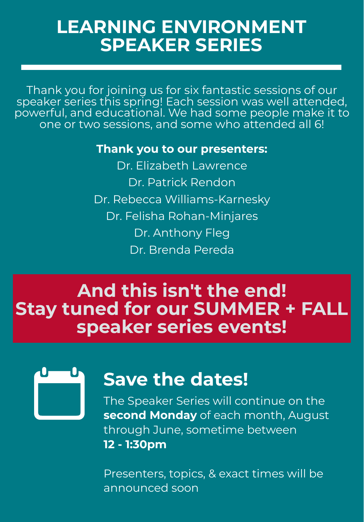### **LEARNING ENVIRONMENT SPEAKER SERIES**

Thank you for joining us for six fantastic sessions of our speaker series this spring! Each session was well attended, powerful, and educational. We had some people make it to one or two sessions, and some who attended all 6!

### **Thank you to our presenters:**

Dr. Elizabeth Lawrence Dr. Patrick Rendon Dr. Rebecca Williams-Karnesky Dr. Felisha Rohan-Minjares Dr. Anthony Fleg Dr. Brenda Pereda

### **And this isn't the end! Stay tuned for our SUMMER + FALL speaker series events!**

ıU.

### **Save the dates!**

The Speaker Series will continue on the **second Monday** of each month, August through June, sometime between **12 - 1:30pm**

Presenters, topics, & exact times will be announced soon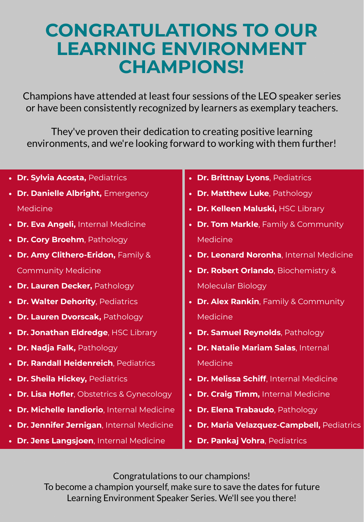### **CONGRATULATIONS TO OUR LEARNING ENVIRONMENT CHAMPIONS!**

Champions have attended at least four sessions of the LEO speaker series or have been consistently recognized by learners as exemplary teachers.

They've proven their dedication to creating positive learning environments, and we're looking forward to working with them further!

- **Dr. Sylvia Acosta,** Pediatrics
- **Dr. Danielle Albright, Emergency** Medicine
- **Dr. Eva Angeli,** Internal Medicine
- **Dr. Cory Broehm**, Pathology
- **Dr. Amy Clithero-Eridon,** Family & Community Medicine
- **Dr. Lauren Decker, Pathology**
- **Dr. Walter Dehority, Pediatrics**
- **Dr. Lauren Dvorscak, Pathology**
- **Dr. Jonathan Eldredge**, HSC Library
- **Dr. Nadja Falk, Pathology**
- **Dr. Randall Heidenreich**, Pediatrics
- **Dr. Sheila Hickey, Pediatrics**
- **Dr. Lisa Hofler**, Obstetrics & Gynecology
- **Dr. Michelle Iandiorio**, Internal Medicine
- **Dr. Jennifer Jernigan**, Internal Medicine
- **Dr. Jens Langsjoen**, Internal Medicine
- **Dr. Brittnay Lyons**, Pediatrics
- **Dr. Matthew Luke**, Pathology
- **Dr. Kelleen Maluski,** HSC Library
- **Dr. Tom Markle**, Family & Community Medicine
- **Dr. Leonard Noronha**, Internal Medicine
- **Dr. Robert Orlando**, Biochemistry & Molecular Biology
- **Dr. Alex Rankin**, Family & Community Medicine
- **Dr. Samuel Reynolds**, Pathology
- **Dr. Natalie Mariam Salas**, Internal Medicine
- **Dr. Melissa Schiff**, Internal Medicine
- **Dr. Craig Timm,** Internal Medicine
- **Dr. Elena Trabaudo**, Pathology
- **Dr. Maria Velazquez-Campbell,** Pediatrics
- **Dr. Pankaj Vohra**, Pediatrics

Congratulations to our champions!

To become a champion yourself, make sure to save the dates for future Learning Environment Speaker Series. We'll see you there!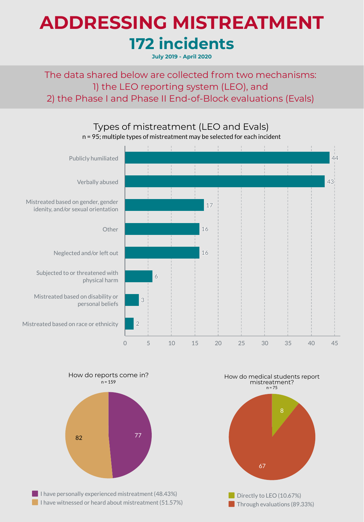# **172 incidents ADDRESSING MISTREATMENT**

**July 2019 - April 2020**

The data shared below are collected from two mechanisms: 1) the LEO reporting system (LEO), and 2) the Phase I and Phase II End-of-Block evaluations (Evals)



How do reports come in?



 $n = 159$ 

 $\blacksquare$  I have personally experienced mistreatment (48.43%)  $\blacksquare$  I have witnessed or heard about mistreatment (51.57%)

How do medical students report mistreatment?  $n = 75$ 



**Through evaluations (89.33%)**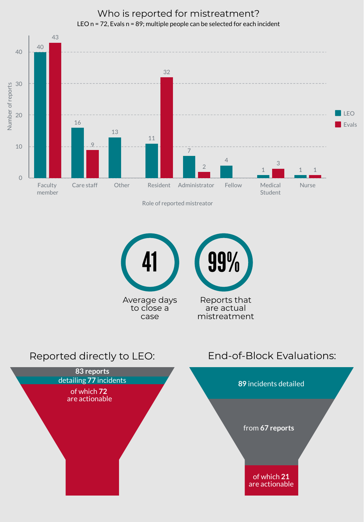

Who is reported for mistreatment? LEO n = 72, Evals n = 89; multiple people can be selected for each incident

Role of reported mistreator



#### Reported directly to LEO:



#### End-of-Block Evaluations: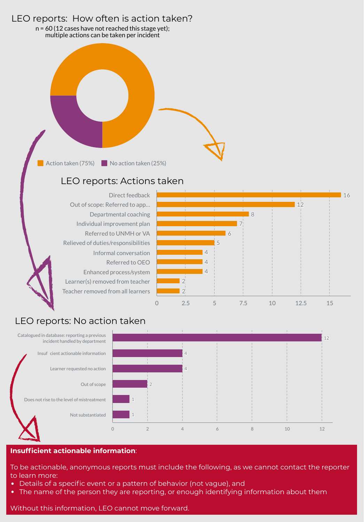#### LEO reports: How often is action taken?

n = 60 (12 cases have not reached this stage yet); multiple actions can be taken per incident

Action taken (75%)  $\blacksquare$  No action taken (25%)

#### LEO reports: Actions taken

Direct feedback Out of scope: Referred to app… Departmental coaching Individual improvement plan Referred to UNMH or VA Relieved of duties/responsibilities Informal conversation Referred to OEO Enhanced process/system Learner(s) removed from teacher Teacher removed from all learners



#### LEO reports: No action taken



#### **Insufficient actionable information**:

To be actionable, anonymous reports must include the following, as we cannot contact the reporter to learn more:

- Details of a specific event or a pattern of behavior (not vague), and
- The name of the person they are reporting, or enough identifying information about them

Without this information, LEO cannot move forward.